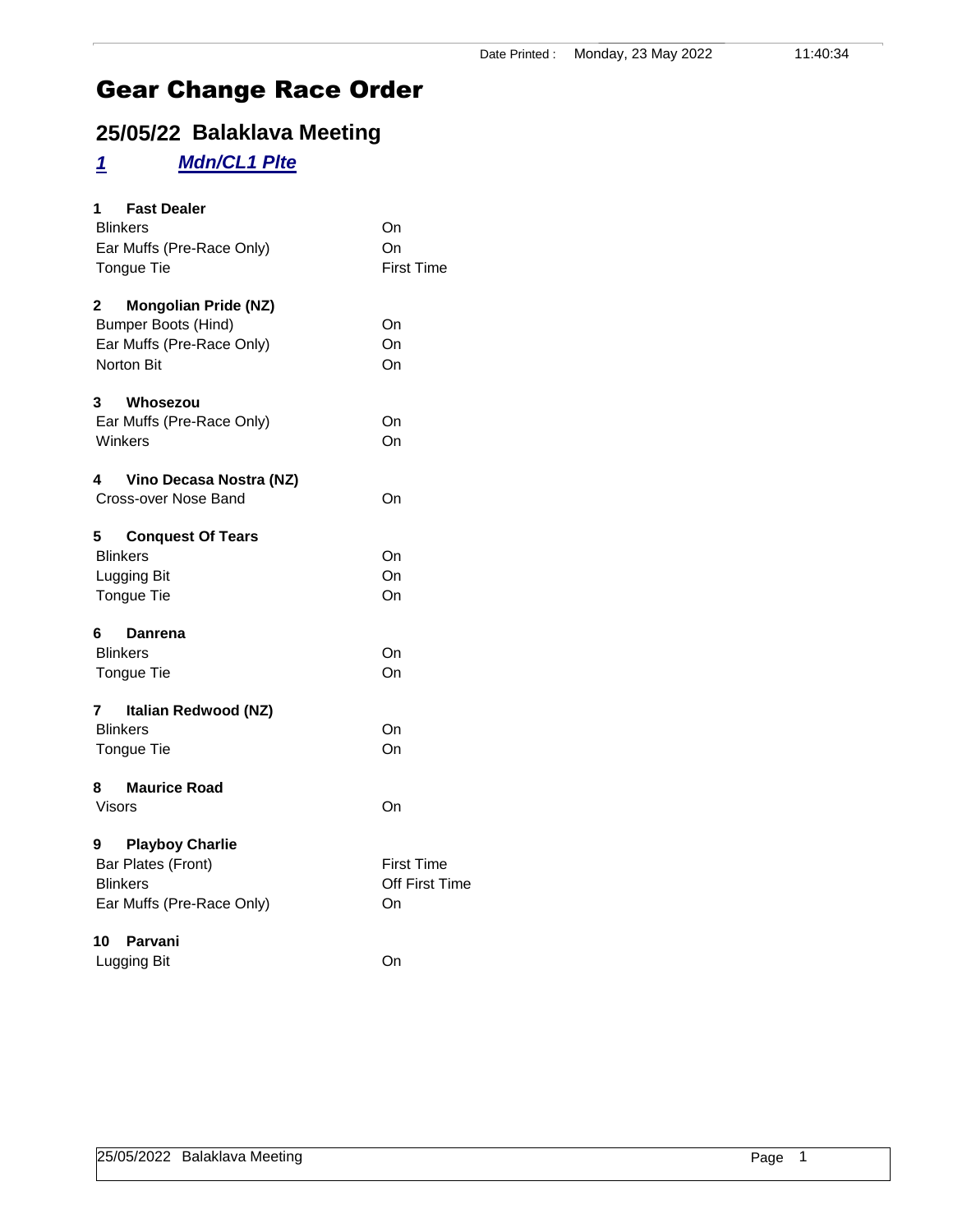## **25/05/22 Balaklava Meeting**

## *1 Mdn/CL1 Plte*

| <b>Fast Dealer</b><br>$1 \quad$  |                   |
|----------------------------------|-------------------|
| <b>Blinkers</b>                  | On                |
| Ear Muffs (Pre-Race Only)        | On                |
| <b>Tongue Tie</b>                | <b>First Time</b> |
| <b>Mongolian Pride (NZ)</b><br>2 |                   |
| <b>Bumper Boots (Hind)</b>       | On                |
| Ear Muffs (Pre-Race Only)        | On                |
| <b>Norton Bit</b>                | On                |
| 3<br>Whosezou                    |                   |
| Ear Muffs (Pre-Race Only)        | On                |
| Winkers                          | On                |
| 4 Vino Decasa Nostra (NZ)        |                   |
| Cross-over Nose Band             | On                |
| 5<br><b>Conquest Of Tears</b>    |                   |
| <b>Blinkers</b>                  | On                |
| Lugging Bit                      | On                |
| Tongue Tie                       | On                |
| 6<br>Danrena                     |                   |
| <b>Blinkers</b>                  | On                |
| <b>Tongue Tie</b>                | On                |
| 7<br>Italian Redwood (NZ)        |                   |
| <b>Blinkers</b>                  | On                |
| <b>Tongue Tie</b>                | On                |
| <b>Maurice Road</b><br>8 -       |                   |
| Visors                           | On                |
| 9 Playboy Charlie                |                   |
| Bar Plates (Front)               | First Time        |
| <b>Blinkers</b>                  | Off First Time    |
| Ear Muffs (Pre-Race Only)        | On                |
| 10<br>Parvani                    |                   |
| Lugging Bit                      | On                |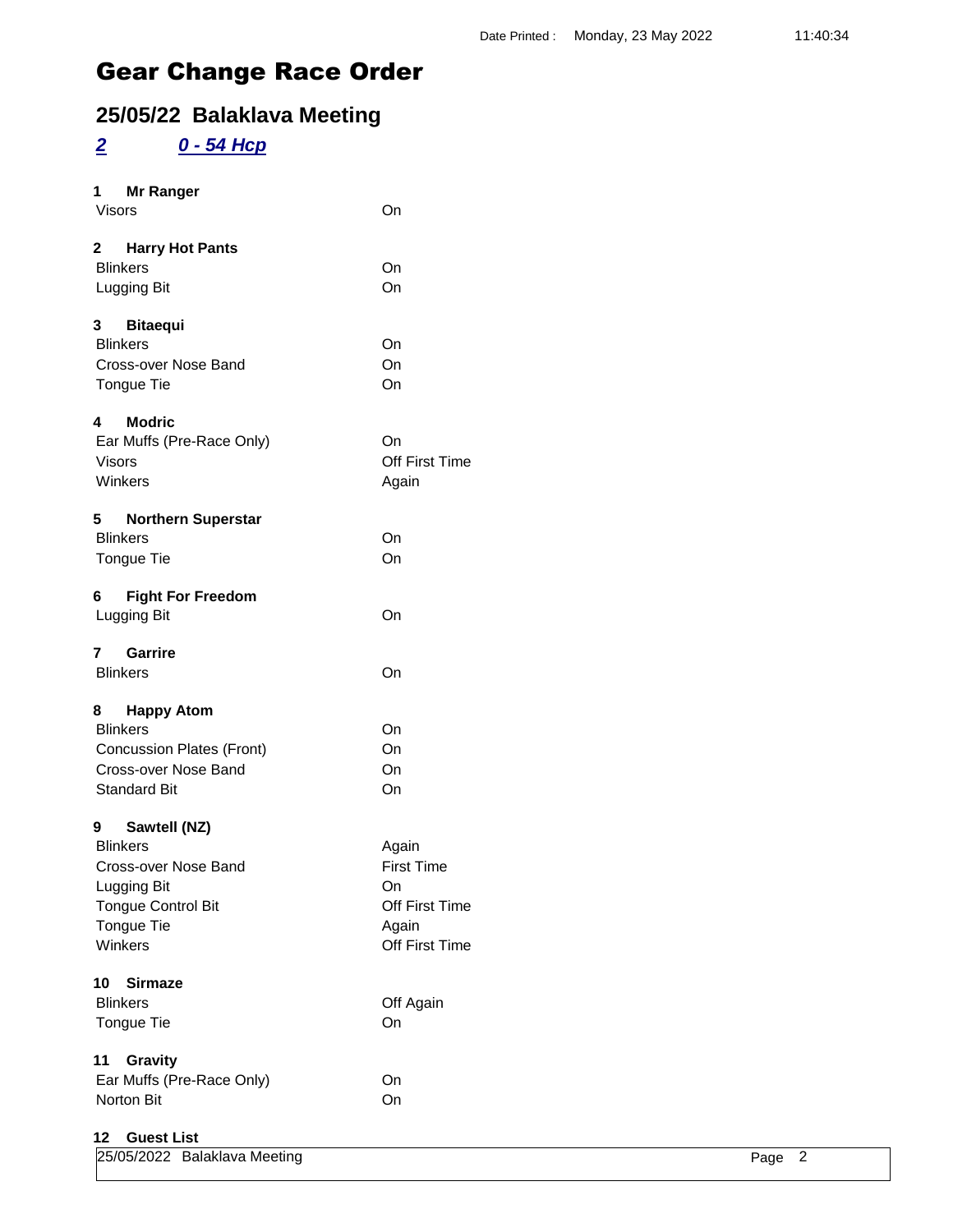## **25/05/22 Balaklava Meeting**

### *2 0 - 54 Hcp*

| 1 Mr Ranger<br>Visors                                                                                                          | On                                                                                   |
|--------------------------------------------------------------------------------------------------------------------------------|--------------------------------------------------------------------------------------|
| 2 Harry Hot Pants<br><b>Blinkers</b><br>Lugging Bit                                                                            | On<br>On                                                                             |
| 3 Bitaequi<br><b>Blinkers</b><br>Cross-over Nose Band<br>Tongue Tie                                                            | On<br>On<br>On                                                                       |
| <b>Modric</b><br>4<br>Ear Muffs (Pre-Race Only)<br><b>Visors</b><br>Winkers                                                    | On<br><b>Off First Time</b><br>Again                                                 |
| 5<br><b>Northern Superstar</b><br><b>Blinkers</b><br>Tongue Tie                                                                | On<br>On                                                                             |
| 6 Fight For Freedom<br>Lugging Bit                                                                                             | On                                                                                   |
| 7 Garrire<br><b>Blinkers</b>                                                                                                   | On                                                                                   |
| 8 Happy Atom<br><b>Blinkers</b><br><b>Concussion Plates (Front)</b><br>Cross-over Nose Band<br><b>Standard Bit</b>             | On<br>On<br>On<br>On                                                                 |
| 9 Sawtell (NZ)<br><b>Blinkers</b><br>Cross-over Nose Band<br>Lugging Bit<br><b>Tongue Control Bit</b><br>Tongue Tie<br>Winkers | Again<br><b>First Time</b><br>On<br><b>Off First Time</b><br>Again<br>Off First Time |
| 10<br><b>Sirmaze</b><br><b>Blinkers</b><br>Tongue Tie                                                                          | Off Again<br>On                                                                      |
| 11<br>Gravity<br>Ear Muffs (Pre-Race Only)<br>Norton Bit                                                                       | On<br>On                                                                             |
| 12<br><b>Guest List</b>                                                                                                        |                                                                                      |

| 25/05/2022 Balaklava Meeting |  | Page 2 |  |
|------------------------------|--|--------|--|
|                              |  |        |  |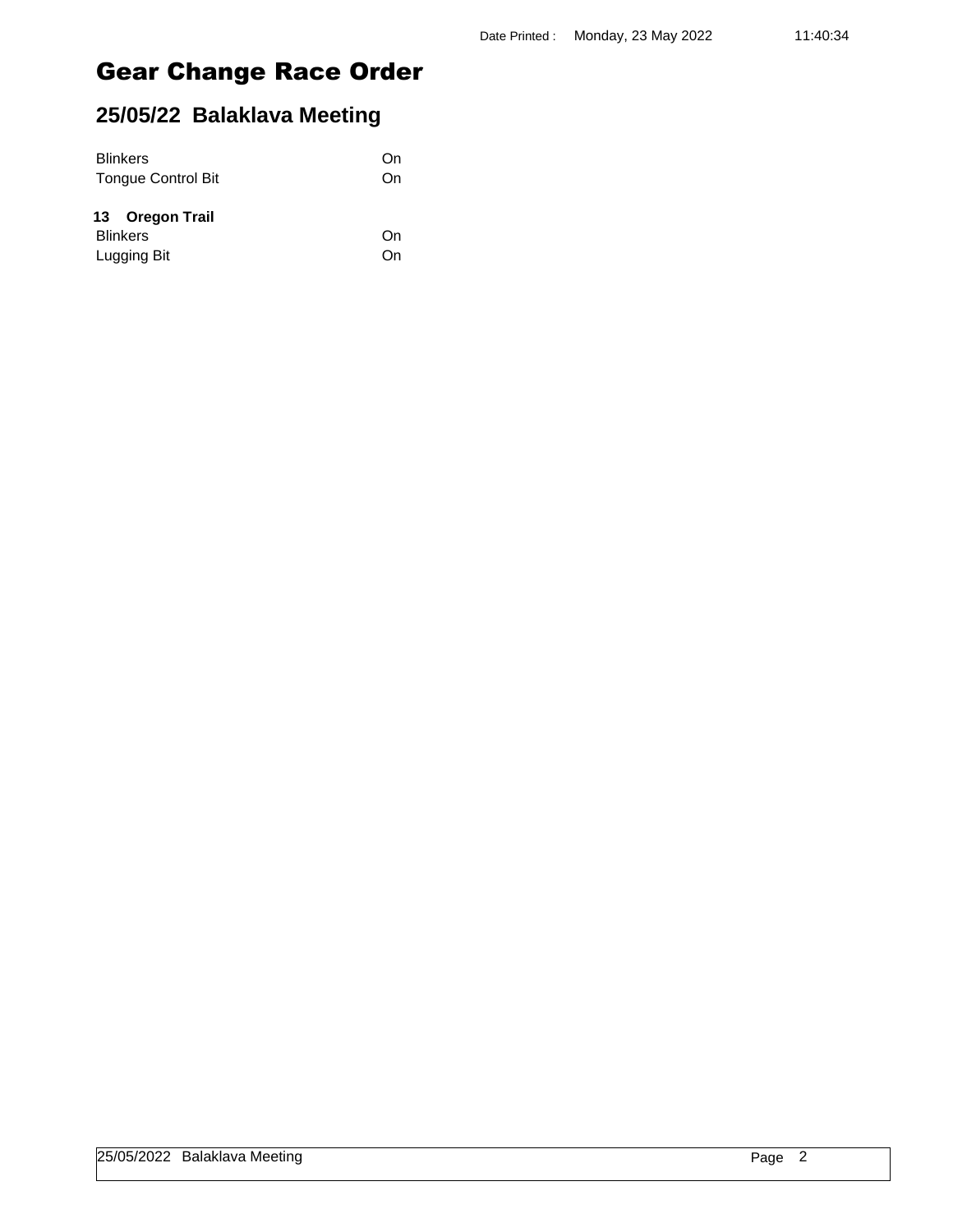| <b>Blinkers</b>           | On |
|---------------------------|----|
| <b>Tongue Control Bit</b> | On |
| 13 Oregon Trail           |    |
| <b>Blinkers</b>           | On |
| Lugging Bit               | On |
|                           |    |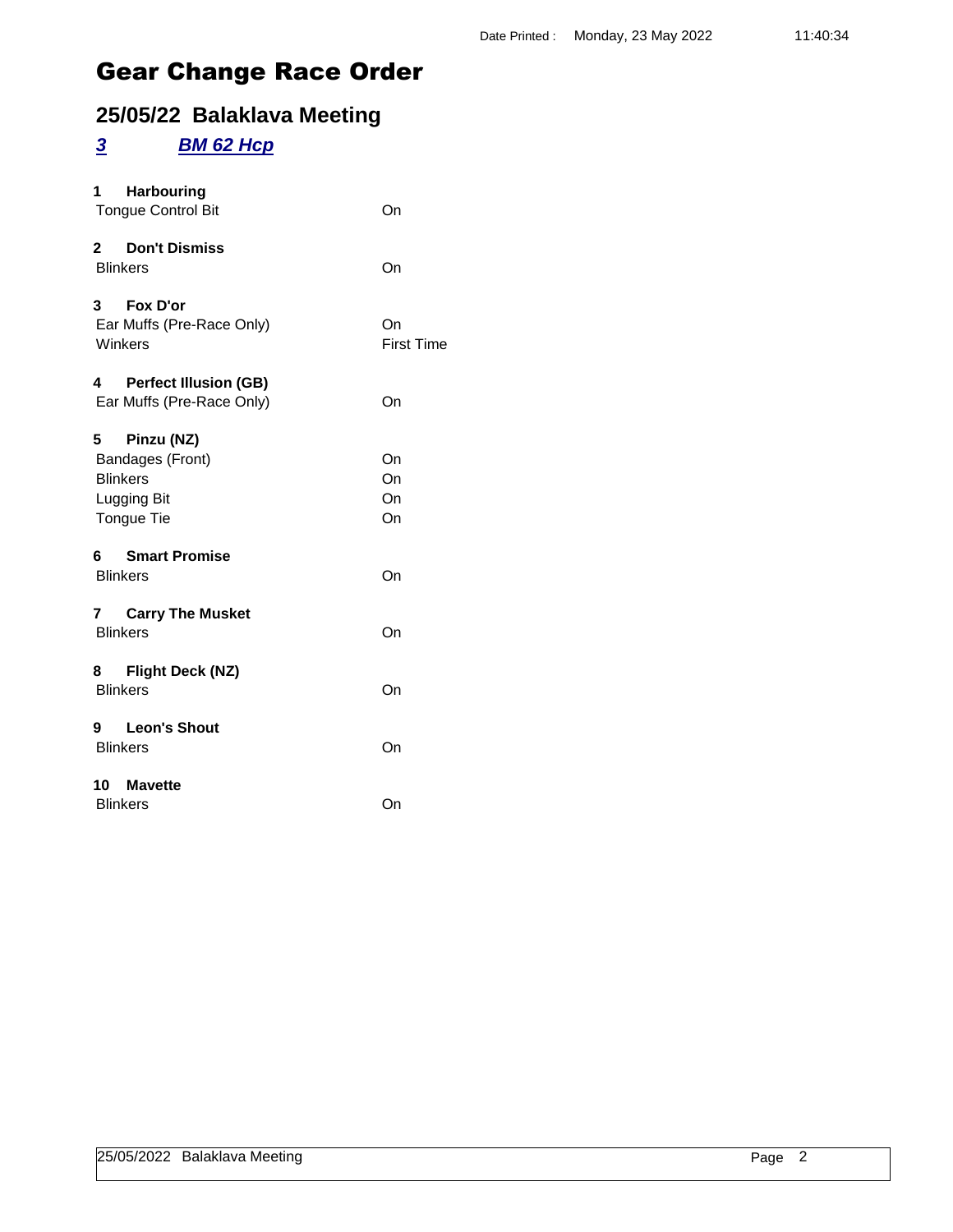## **25/05/22 Balaklava Meeting**

### *3 BM 62 Hcp*

| <b>Harbouring</b><br>1<br><b>Tongue Control Bit</b>                                 | On                      |
|-------------------------------------------------------------------------------------|-------------------------|
| 2 Don't Dismiss<br><b>Blinkers</b>                                                  | On                      |
| 3 Fox D'or<br>Ear Muffs (Pre-Race Only)<br>Winkers                                  | On<br><b>First Time</b> |
| 4 Perfect Illusion (GB)<br>Ear Muffs (Pre-Race Only)                                | On                      |
| Pinzu (NZ)<br>5<br>Bandages (Front)<br><b>Blinkers</b><br>Lugging Bit<br>Tongue Tie | On<br>On<br>On<br>On    |
| 6 Smart Promise<br><b>Blinkers</b>                                                  | On                      |
| 7 Carry The Musket<br><b>Blinkers</b>                                               | On                      |
| 8 Flight Deck (NZ)<br><b>Blinkers</b>                                               | On                      |
| 9 Leon's Shout<br><b>Blinkers</b>                                                   | On                      |
| 10 Mavette<br><b>Blinkers</b>                                                       | On                      |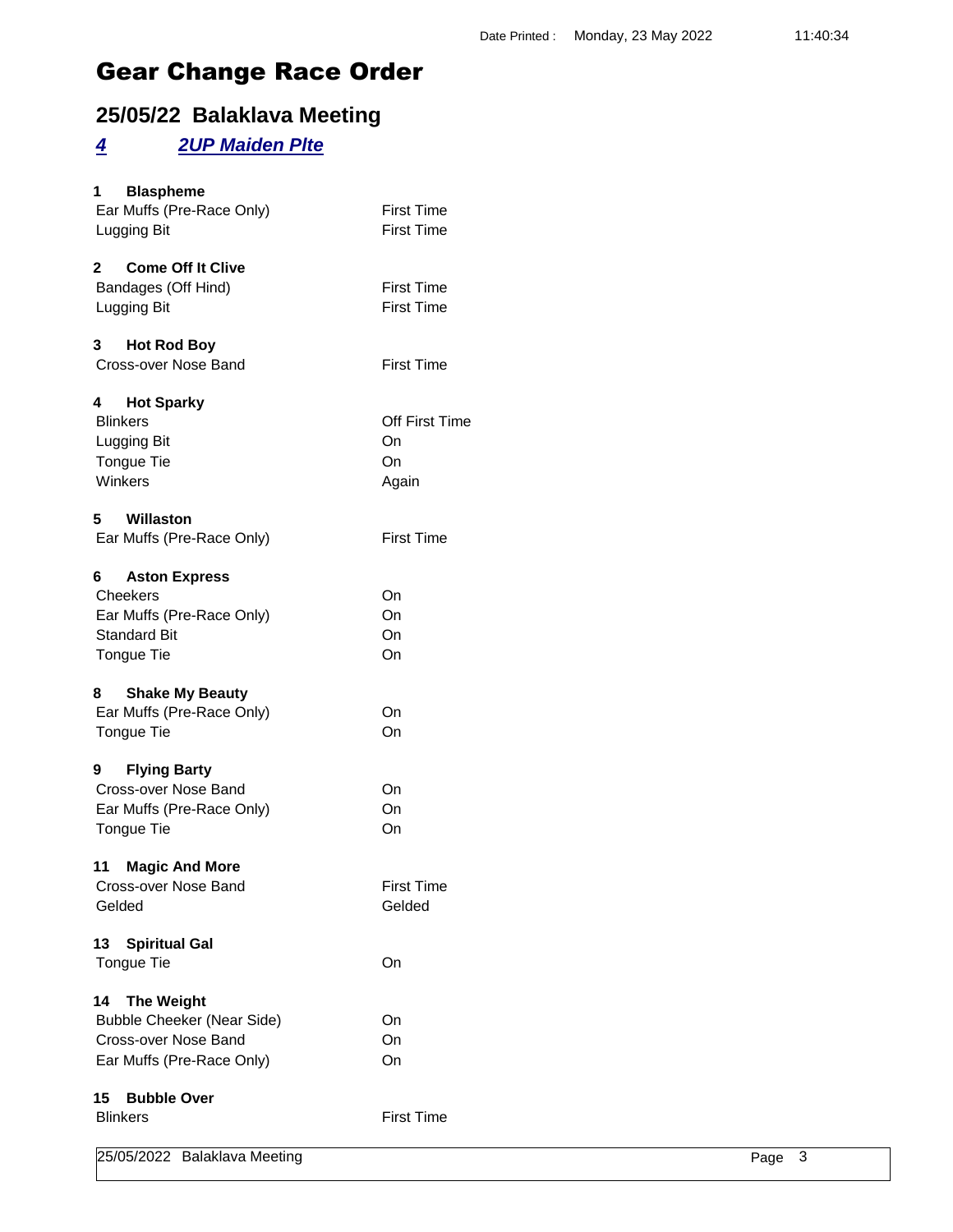## **25/05/22 Balaklava Meeting**

### *4 2UP Maiden Plte*

| $\mathbf{3}$<br>Page                   | 25/05/2022 Balaklava Meeting              |
|----------------------------------------|-------------------------------------------|
| <b>First Time</b>                      | <b>Blinkers</b>                           |
|                                        | <b>Bubble Over</b><br>15                  |
| On                                     | Ear Muffs (Pre-Race Only)                 |
| On                                     | Cross-over Nose Band                      |
| On                                     | <b>Bubble Cheeker (Near Side)</b>         |
|                                        | <b>The Weight</b><br>14                   |
|                                        |                                           |
| On                                     | <b>Spiritual Gal</b><br>13<br>Tongue Tie  |
|                                        |                                           |
| Gelded                                 | Gelded                                    |
| <b>First Time</b>                      | Cross-over Nose Band                      |
|                                        | <b>Magic And More</b><br>11               |
| On                                     | Tongue Tie                                |
| On                                     | Ear Muffs (Pre-Race Only)                 |
| On                                     | Cross-over Nose Band                      |
|                                        | 9<br><b>Flying Barty</b>                  |
|                                        |                                           |
| On                                     | Tongue Tie                                |
| On                                     | Ear Muffs (Pre-Race Only)                 |
|                                        | <b>Shake My Beauty</b><br>8               |
| On                                     | Tongue Tie                                |
| On                                     | <b>Standard Bit</b>                       |
| On                                     | Ear Muffs (Pre-Race Only)                 |
| On                                     | Cheekers                                  |
|                                        | <b>Aston Express</b><br>6                 |
| <b>First Time</b>                      | Ear Muffs (Pre-Race Only)                 |
|                                        | 5<br><b>Willaston</b>                     |
|                                        |                                           |
| Again                                  | Winkers                                   |
| On                                     | Tongue Tie                                |
| On                                     | Lugging Bit                               |
| Off First Time                         | <b>Hot Sparky</b><br>4<br><b>Blinkers</b> |
|                                        |                                           |
| <b>First Time</b>                      | Cross-over Nose Band                      |
|                                        | 3<br><b>Hot Rod Boy</b>                   |
| <b>First Time</b>                      | Lugging Bit                               |
| <b>First Time</b>                      | Bandages (Off Hind)                       |
|                                        | <b>Come Off It Clive</b><br>2             |
|                                        |                                           |
| <b>First Time</b><br><b>First Time</b> | Ear Muffs (Pre-Race Only)<br>Lugging Bit  |
|                                        | <b>Blaspheme</b><br>1                     |
|                                        |                                           |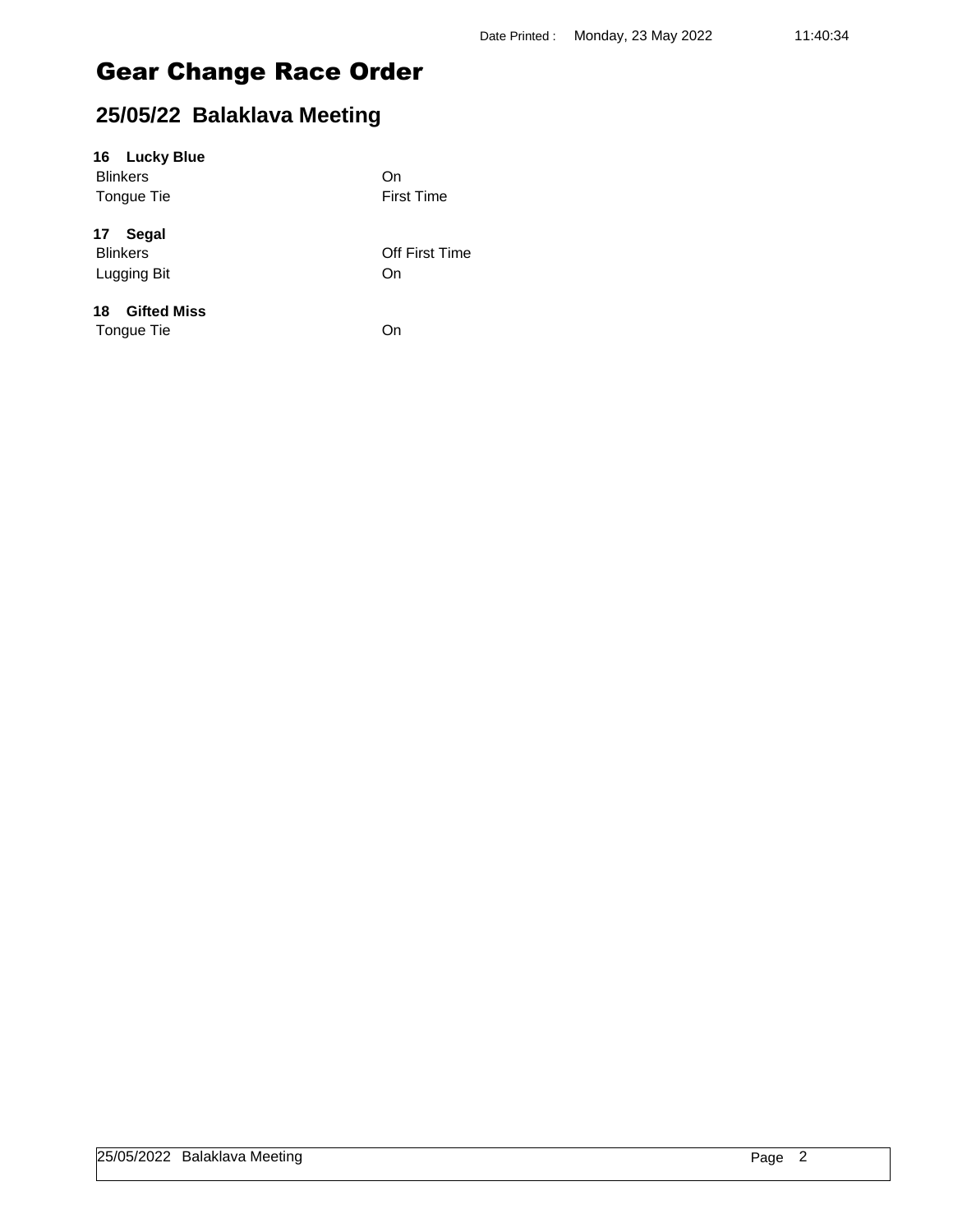## **25/05/22 Balaklava Meeting**

### **16 Lucky Blue**

Blinkers On Tongue Tie **First Time** 

**17 Segal**

Lugging Bit On

Blinkers Off First Time

### **18 Gifted Miss**

Tongue Tie On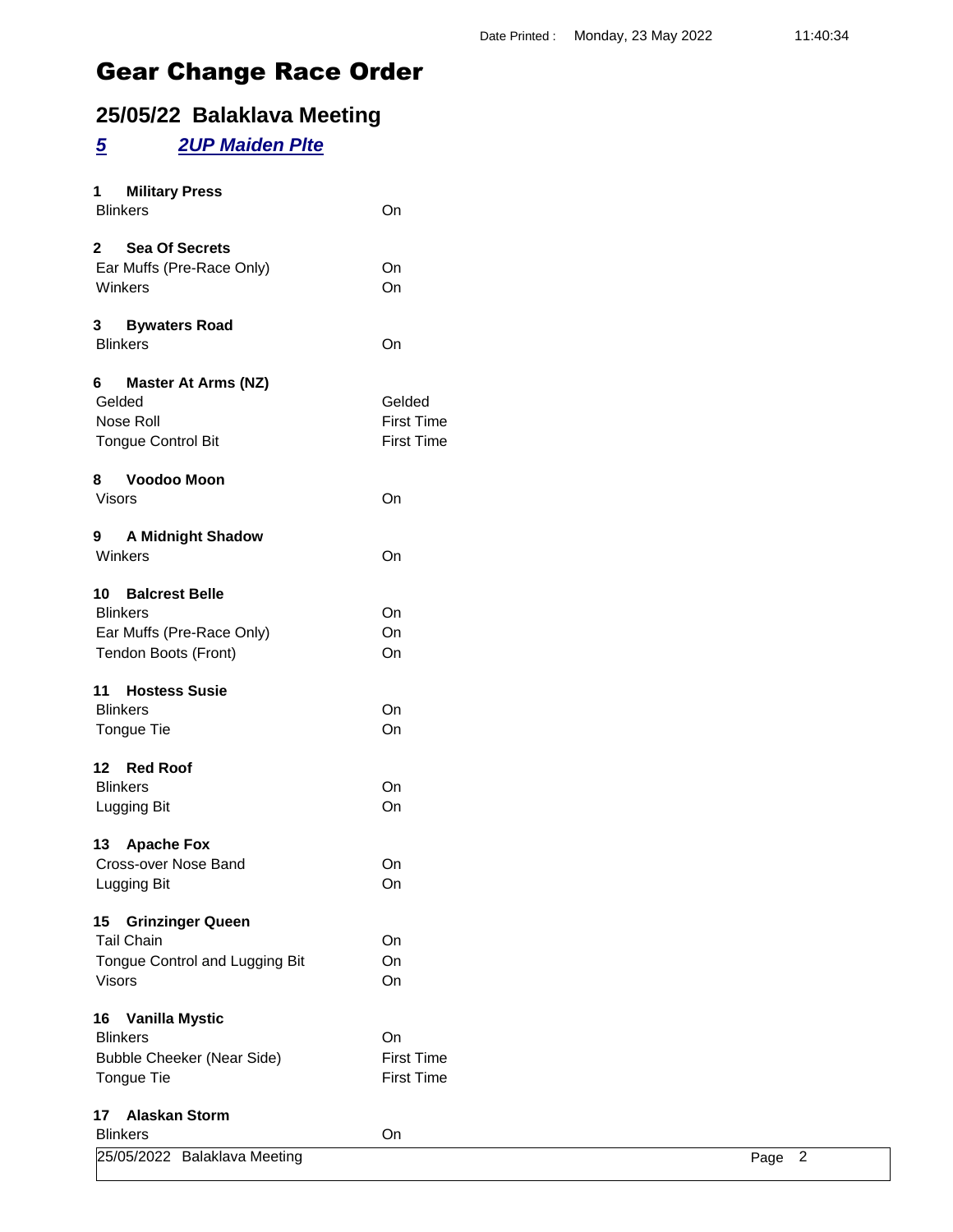## **25/05/22 Balaklava Meeting**

### *5 2UP Maiden Plte*

| 1 Military Press<br><b>Blinkers</b>                                                         | On                                               |
|---------------------------------------------------------------------------------------------|--------------------------------------------------|
| 2 Sea Of Secrets<br>Ear Muffs (Pre-Race Only)<br>Winkers                                    | On<br>On                                         |
| 3 Bywaters Road<br><b>Blinkers</b>                                                          | On                                               |
| 6 Master At Arms (NZ)<br>Gelded<br>Nose Roll<br><b>Tongue Control Bit</b><br>8 Voodoo Moon  | Gelded<br><b>First Time</b><br><b>First Time</b> |
| Visors                                                                                      | On                                               |
| 9 A Midnight Shadow<br>Winkers                                                              | On                                               |
| 10 Balcrest Belle<br><b>Blinkers</b><br>Ear Muffs (Pre-Race Only)<br>Tendon Boots (Front)   | On<br>On<br>On                                   |
| 11 Hostess Susie<br><b>Blinkers</b><br>Tongue Tie                                           | On<br>On                                         |
| 12 Red Roof<br><b>Blinkers</b><br>Lugging Bit                                               | On<br>On                                         |
| 13 Apache Fox<br>Cross-over Nose Band<br>Lugging Bit                                        | On<br>On                                         |
| 15 Grinzinger Queen<br><b>Tail Chain</b><br>Tongue Control and Lugging Bit<br><b>Visors</b> | On<br>On<br>On                                   |
| 16 Vanilla Mystic<br><b>Blinkers</b><br><b>Bubble Cheeker (Near Side)</b><br>Tongue Tie     | On<br><b>First Time</b><br><b>First Time</b>     |
| 17 Alaskan Storm<br><b>Blinkers</b>                                                         | On                                               |

| _                            | -- |      |
|------------------------------|----|------|
| 25/05/2022 Balaklava Meeting |    | Page |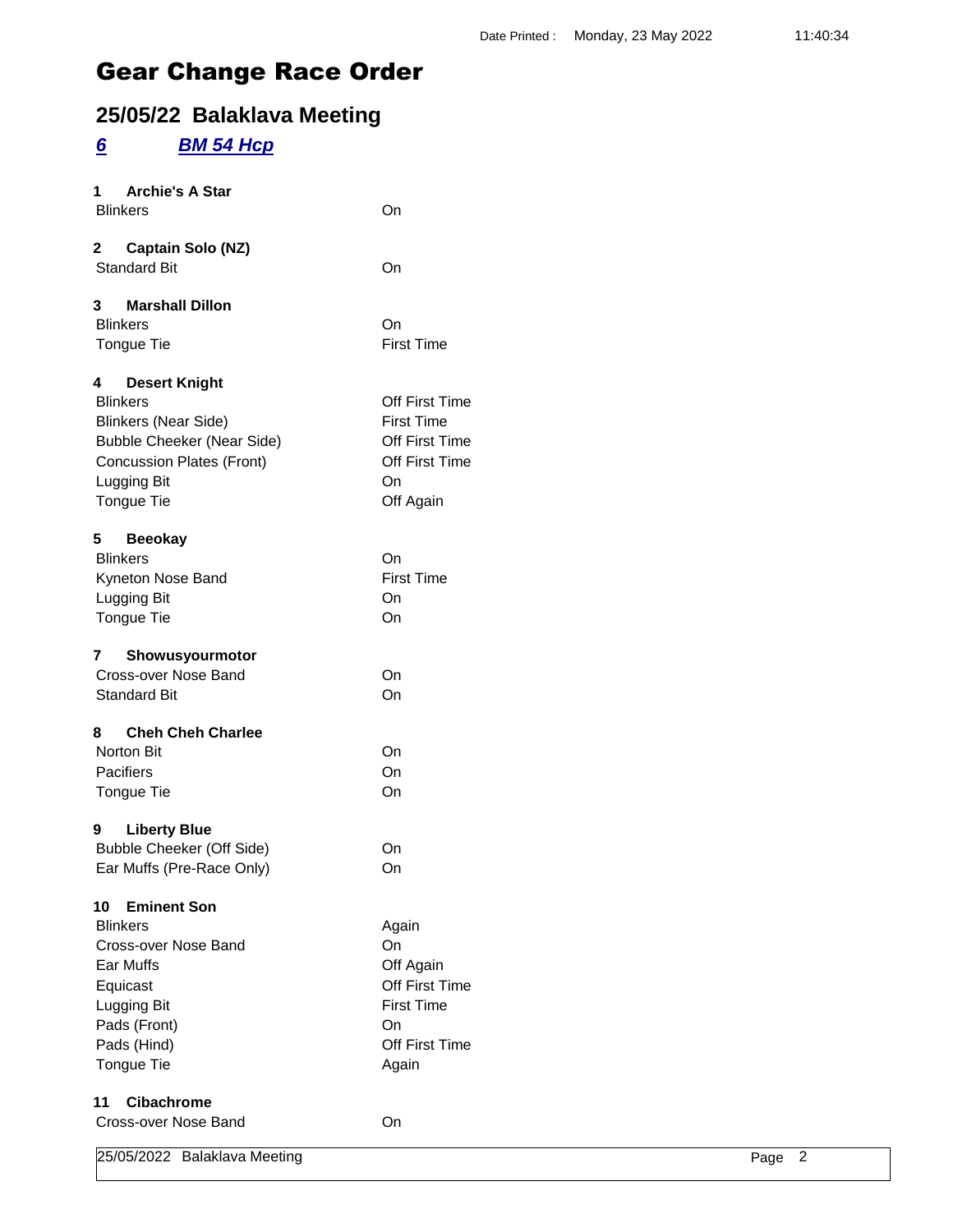## **25/05/22 Balaklava Meeting**

### *6 BM 54 Hcp*

| <b>Archie's A Star</b><br>1<br><b>Blinkers</b>                                                                                                                                    | On                                                                                                      |
|-----------------------------------------------------------------------------------------------------------------------------------------------------------------------------------|---------------------------------------------------------------------------------------------------------|
| 2<br><b>Captain Solo (NZ)</b><br><b>Standard Bit</b>                                                                                                                              | On                                                                                                      |
| <b>Marshall Dillon</b><br>3<br><b>Blinkers</b><br><b>Tongue Tie</b>                                                                                                               | On<br><b>First Time</b>                                                                                 |
| 4<br><b>Desert Knight</b><br><b>Blinkers</b><br><b>Blinkers (Near Side)</b><br><b>Bubble Cheeker (Near Side)</b><br><b>Concussion Plates (Front)</b><br>Lugging Bit<br>Tongue Tie | Off First Time<br><b>First Time</b><br><b>Off First Time</b><br>Off First Time<br>On<br>Off Again       |
| 5.<br><b>Beeokay</b><br><b>Blinkers</b><br>Kyneton Nose Band<br>Lugging Bit<br>Tongue Tie                                                                                         | On<br><b>First Time</b><br>On<br>On                                                                     |
| Showusyourmotor<br>7<br>Cross-over Nose Band<br><b>Standard Bit</b>                                                                                                               | On<br>On                                                                                                |
| <b>Cheh Cheh Charlee</b><br>8<br><b>Norton Bit</b><br>Pacifiers<br>Tongue Tie<br><b>Liberty Blue</b><br>9                                                                         | On<br>On<br>On                                                                                          |
| <b>Bubble Cheeker (Off Side)</b><br>Ear Muffs (Pre-Race Only)                                                                                                                     | On<br>On                                                                                                |
| <b>Eminent Son</b><br>10<br><b>Blinkers</b><br>Cross-over Nose Band<br>Ear Muffs<br>Equicast<br>Lugging Bit<br>Pads (Front)<br>Pads (Hind)<br>Tongue Tie                          | Again<br>On<br>Off Again<br>Off First Time<br><b>First Time</b><br>On<br><b>Off First Time</b><br>Again |
| <b>Cibachrome</b><br>11<br>Cross-over Nose Band                                                                                                                                   | On                                                                                                      |

25/05/2022 Balaklava Meeting Page 2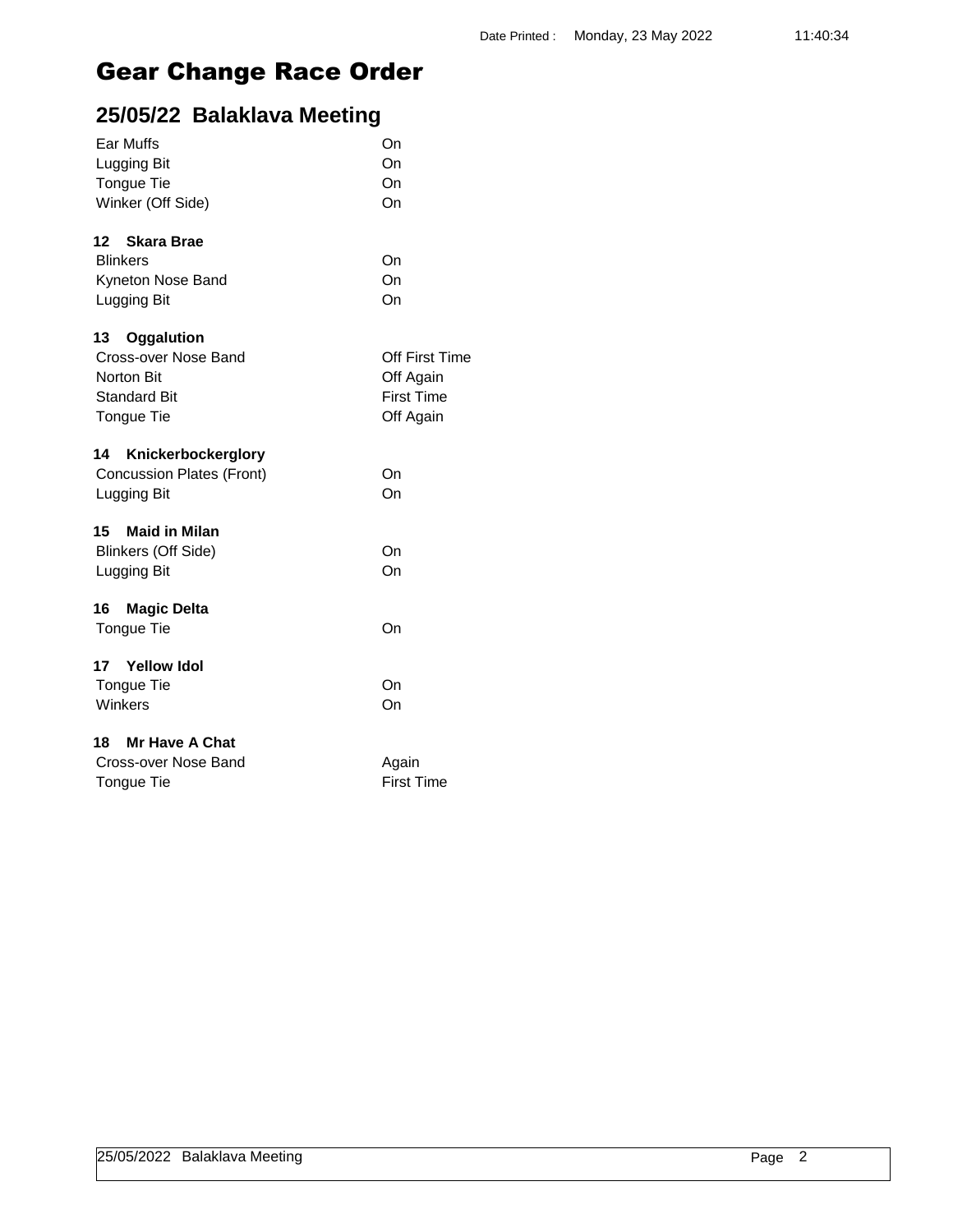| Ear Muffs                  | On                    |
|----------------------------|-----------------------|
| Lugging Bit                | On                    |
| Tongue Tie                 | On                    |
| Winker (Off Side)          | On                    |
| 12<br>Skara Brae           |                       |
| <b>Blinkers</b>            | On                    |
| Kyneton Nose Band          | On                    |
| Lugging Bit                | On                    |
| 13 Oggalution              |                       |
| Cross-over Nose Band       | <b>Off First Time</b> |
| <b>Norton Bit</b>          | Off Again             |
| <b>Standard Bit</b>        | <b>First Time</b>     |
| Tongue Tie                 | Off Again             |
| 14<br>Knickerbockerglory   |                       |
| Concussion Plates (Front)  | On                    |
| Lugging Bit                | On                    |
| 15 Maid in Milan           |                       |
| <b>Blinkers (Off Side)</b> | On                    |
| Lugging Bit                | On                    |
| 16<br><b>Magic Delta</b>   |                       |
| Tongue Tie                 | On                    |
| 17<br><b>Yellow Idol</b>   |                       |
| Tongue Tie                 | On                    |
| Winkers                    | On                    |
| 18 Mr Have A Chat          |                       |
| Cross-over Nose Band       | Again                 |
| Tongue Tie                 | <b>First Time</b>     |
|                            |                       |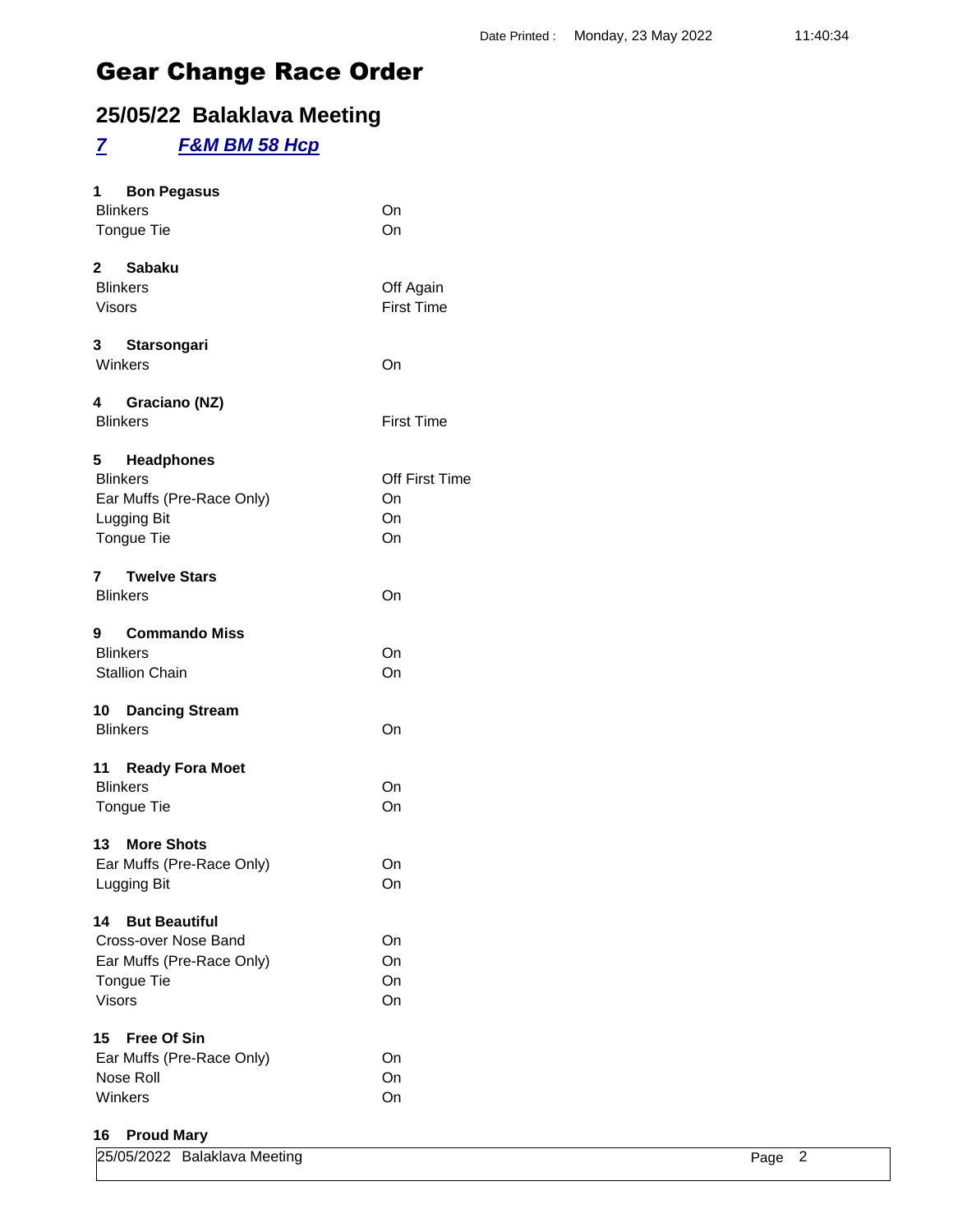## **25/05/22 Balaklava Meeting**

### *7 F&M BM 58 Hcp*

| 1 Bon Pegasus              |                   |
|----------------------------|-------------------|
| <b>Blinkers</b>            | On                |
| Tongue Tie                 | On                |
| 2 Sabaku                   |                   |
| <b>Blinkers</b>            | Off Again         |
| <b>Visors</b>              | <b>First Time</b> |
| 3 Starsongari              |                   |
| Winkers                    | On                |
| 4 Graciano (NZ)            |                   |
| <b>Blinkers</b>            | <b>First Time</b> |
| 5 Headphones               |                   |
| <b>Blinkers</b>            | Off First Time    |
| Ear Muffs (Pre-Race Only)  | On                |
| Lugging Bit                | On                |
| Tongue Tie                 | On                |
| 7 Twelve Stars             |                   |
| <b>Blinkers</b>            | On                |
| 9 Commando Miss            |                   |
| <b>Blinkers</b>            | On                |
| <b>Stallion Chain</b>      | On                |
| 10 Dancing Stream          |                   |
| <b>Blinkers</b>            | On                |
| 11 Ready Fora Moet         |                   |
| <b>Blinkers</b>            | On                |
| Tongue Tie                 | On                |
| 13 More Shots              |                   |
| Ear Muffs (Pre-Race Only)  | On                |
| Lugging Bit                | On                |
| <b>But Beautiful</b><br>14 |                   |
| Cross-over Nose Band       | On                |
| Ear Muffs (Pre-Race Only)  | On                |
| Tongue Tie                 | On                |
| <b>Visors</b>              | On                |
| 15<br><b>Free Of Sin</b>   |                   |
| Ear Muffs (Pre-Race Only)  | On                |
| Nose Roll                  | On                |
| Winkers                    | On                |
|                            |                   |

### **16 Proud Mary**

| 25/05/2022 Balaklava Meeting |  | Page 2 |  |
|------------------------------|--|--------|--|
|                              |  |        |  |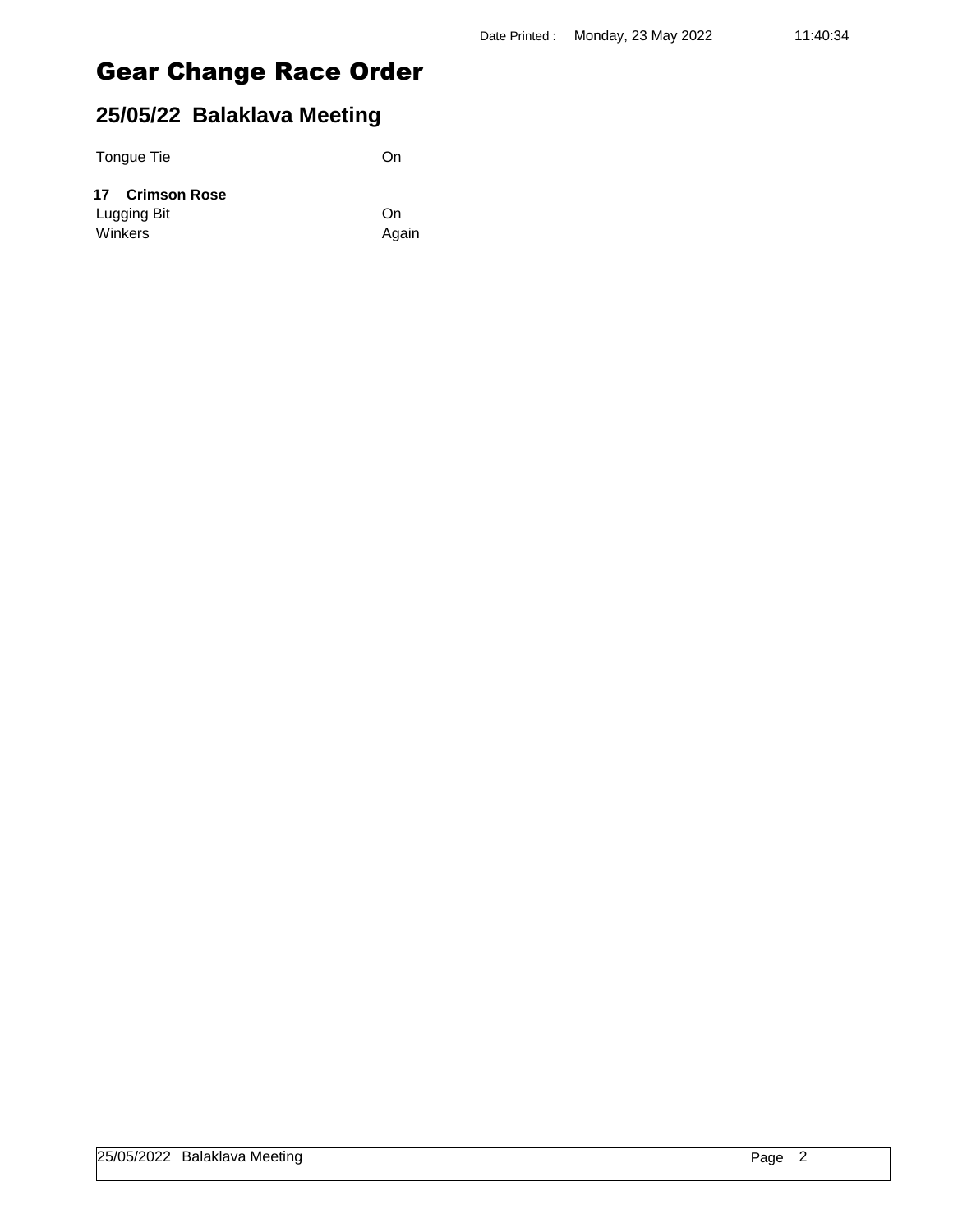### **25/05/22 Balaklava Meeting**

Tongue Tie On

Again

| 17 Crimson Rose |    |
|-----------------|----|
| Lugging Bit     | On |
| Winkers         | Ag |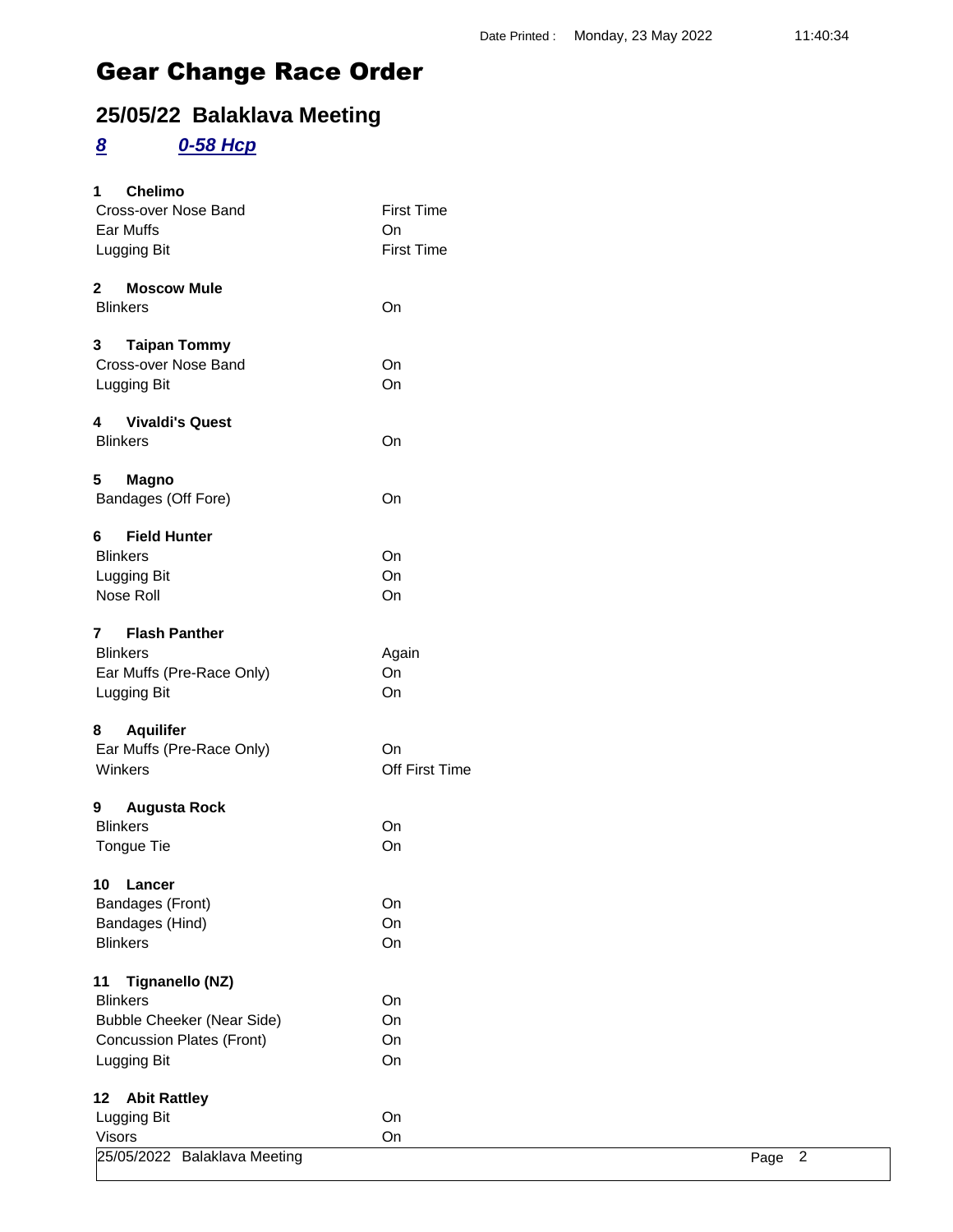## **25/05/22 Balaklava Meeting**

### *8 0-58 Hcp*

| <b>Chelimo</b><br>1                      |                   |                        |
|------------------------------------------|-------------------|------------------------|
| Cross-over Nose Band                     | <b>First Time</b> |                        |
| Ear Muffs                                | On                |                        |
| Lugging Bit                              | <b>First Time</b> |                        |
| <b>Moscow Mule</b><br>$\mathbf{2}$       |                   |                        |
| <b>Blinkers</b>                          | On                |                        |
| 3<br><b>Taipan Tommy</b>                 |                   |                        |
| Cross-over Nose Band                     | On                |                        |
| Lugging Bit                              | On                |                        |
| <b>Vivaldi's Quest</b><br>$\overline{4}$ |                   |                        |
| <b>Blinkers</b>                          | On                |                        |
| 5<br><b>Magno</b>                        |                   |                        |
| Bandages (Off Fore)                      | On                |                        |
| 6<br><b>Field Hunter</b>                 |                   |                        |
| <b>Blinkers</b>                          | On                |                        |
| Lugging Bit                              | On                |                        |
| Nose Roll                                | On                |                        |
| <b>Flash Panther</b><br>$\mathbf{7}$     |                   |                        |
| <b>Blinkers</b>                          | Again             |                        |
| Ear Muffs (Pre-Race Only)                | On                |                        |
| Lugging Bit                              | On                |                        |
| <b>Aquilifer</b><br>8                    |                   |                        |
| Ear Muffs (Pre-Race Only)                | <b>On</b>         |                        |
| Winkers                                  | Off First Time    |                        |
| <b>Augusta Rock</b><br>9                 |                   |                        |
| <b>Blinkers</b>                          | On                |                        |
| Tongue Tie                               | On                |                        |
| 10 Lancer                                |                   |                        |
| Bandages (Front)                         | On                |                        |
| Bandages (Hind)                          | On                |                        |
| <b>Blinkers</b>                          | On                |                        |
| <b>Tignanello (NZ)</b><br>11             |                   |                        |
| <b>Blinkers</b>                          | On                |                        |
| <b>Bubble Cheeker (Near Side)</b>        | On                |                        |
| <b>Concussion Plates (Front)</b>         | On                |                        |
| Lugging Bit                              | On                |                        |
| <b>Abit Rattley</b><br>12 <sub>2</sub>   |                   |                        |
| Lugging Bit                              | On                |                        |
| <b>Visors</b>                            | On                |                        |
| 25/05/2022 Balaklava Meeting             |                   | $\overline{2}$<br>Page |